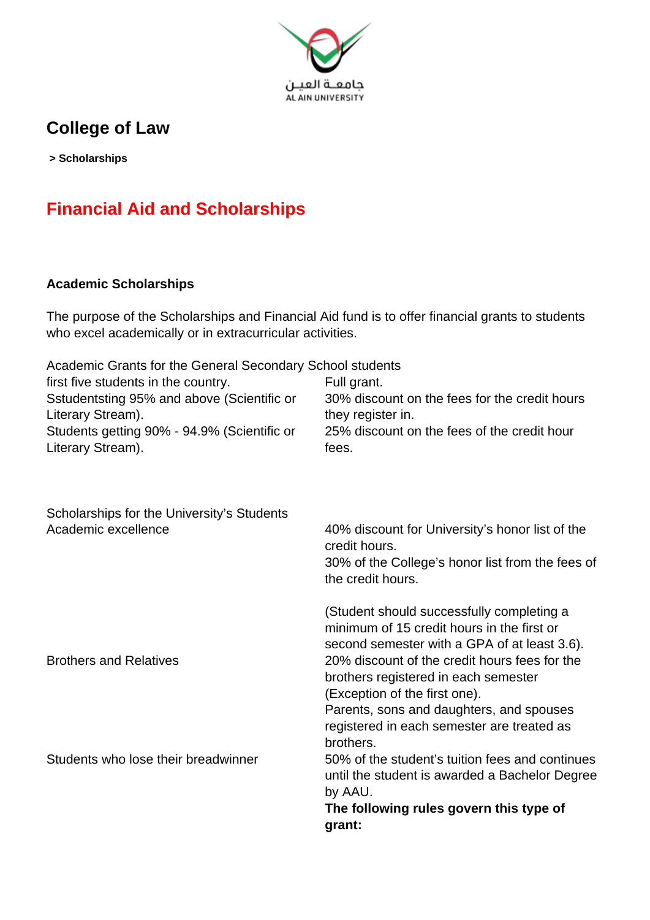

### **College of Law**

 **> Scholarships**

# **Financial Aid and Scholarships**

### **Academic Scholarships**

The purpose of the Scholarships and Financial Aid fund is to offer financial grants to students who excel academically or in extracurricular activities.

| Academic Grants for the General Secondary School students<br>first five students in the country.<br>Sstudentsting 95% and above (Scientific or<br>Literary Stream). | Full grant.<br>30% discount on the fees for the credit hours<br>they register in.                                                                                                                                             |
|---------------------------------------------------------------------------------------------------------------------------------------------------------------------|-------------------------------------------------------------------------------------------------------------------------------------------------------------------------------------------------------------------------------|
| Students getting 90% - 94.9% (Scientific or<br>Literary Stream).                                                                                                    | 25% discount on the fees of the credit hour<br>fees.                                                                                                                                                                          |
| Scholarships for the University's Students<br>Academic excellence                                                                                                   | 40% discount for University's honor list of the<br>credit hours.<br>30% of the College's honor list from the fees of<br>the credit hours.                                                                                     |
|                                                                                                                                                                     | (Student should successfully completing a<br>minimum of 15 credit hours in the first or<br>second semester with a GPA of at least 3.6).                                                                                       |
| <b>Brothers and Relatives</b>                                                                                                                                       | 20% discount of the credit hours fees for the<br>brothers registered in each semester<br>(Exception of the first one).<br>Parents, sons and daughters, and spouses<br>registered in each semester are treated as<br>brothers. |
| Students who lose their breadwinner                                                                                                                                 | 50% of the student's tuition fees and continues<br>until the student is awarded a Bachelor Degree<br>by AAU.<br>The following rules govern this type of<br>grant:                                                             |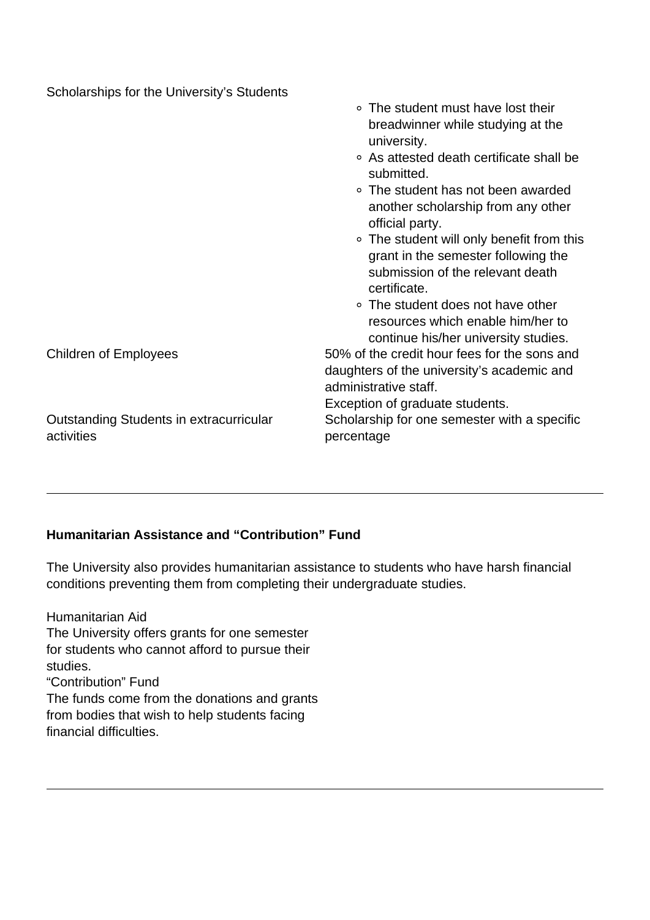| Scholarships for the University's Students            |                                                                                                                                      |
|-------------------------------------------------------|--------------------------------------------------------------------------------------------------------------------------------------|
|                                                       | • The student must have lost their<br>breadwinner while studying at the<br>university.                                               |
|                                                       | ○ As attested death certificate shall be<br>submitted.                                                                               |
|                                                       | • The student has not been awarded<br>another scholarship from any other<br>official party.                                          |
|                                                       | • The student will only benefit from this<br>grant in the semester following the<br>submission of the relevant death<br>certificate. |
|                                                       | • The student does not have other<br>resources which enable him/her to<br>continue his/her university studies.                       |
| <b>Children of Employees</b>                          | 50% of the credit hour fees for the sons and<br>daughters of the university's academic and<br>administrative staff.                  |
| Outstanding Students in extracurricular<br>activities | Exception of graduate students.<br>Scholarship for one semester with a specific<br>percentage                                        |

#### **Humanitarian Assistance and "Contribution" Fund**

The University also provides humanitarian assistance to students who have harsh financial conditions preventing them from completing their undergraduate studies.

Humanitarian Aid The University offers grants for one semester for students who cannot afford to pursue their studies. "Contribution" Fund The funds come from the donations and grants from bodies that wish to help students facing financial difficulties.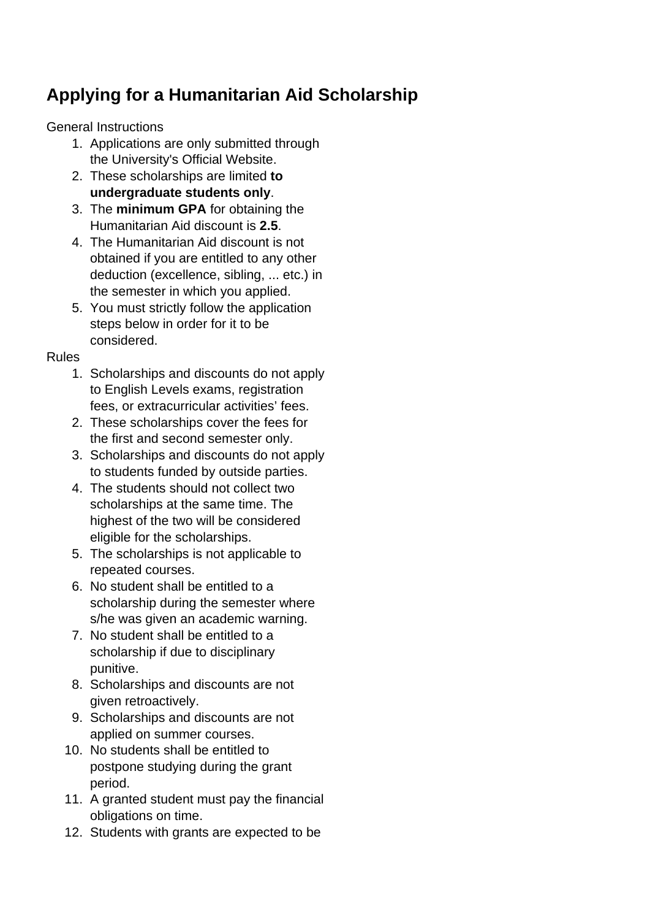## **Applying for a Humanitarian Aid Scholarship**

General Instructions

- 1. Applications are only submitted through the University's Official Website.
- 2. These scholarships are limited **to undergraduate students only**.
- 3. The **minimum GPA** for obtaining the Humanitarian Aid discount is **2.5**.
- 4. The Humanitarian Aid discount is not obtained if you are entitled to any other deduction (excellence, sibling, ... etc.) in the semester in which you applied.
- 5. You must strictly follow the application steps below in order for it to be considered.

Rules

- 1. Scholarships and discounts do not apply to English Levels exams, registration fees, or extracurricular activities' fees.
- 2. These scholarships cover the fees for the first and second semester only.
- 3. Scholarships and discounts do not apply to students funded by outside parties.
- 4. The students should not collect two scholarships at the same time. The highest of the two will be considered eligible for the scholarships.
- 5. The scholarships is not applicable to repeated courses.
- 6. No student shall be entitled to a scholarship during the semester where s/he was given an academic warning.
- 7. No student shall be entitled to a scholarship if due to disciplinary punitive.
- 8. Scholarships and discounts are not given retroactively.
- 9. Scholarships and discounts are not applied on summer courses.
- 10. No students shall be entitled to postpone studying during the grant period.
- 11. A granted student must pay the financial obligations on time.
- 12. Students with grants are expected to be